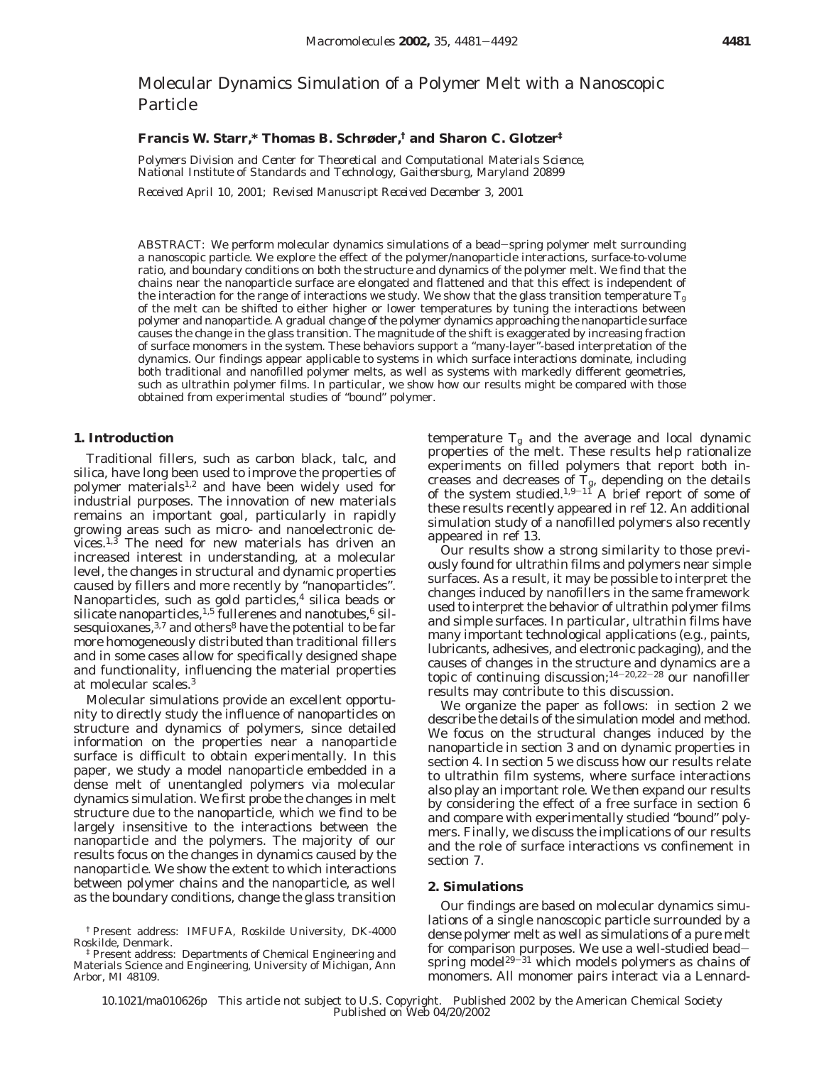# Molecular Dynamics Simulation of a Polymer Melt with a Nanoscopic Particle

## **Francis W. Starr,\* Thomas B. Schrøder,† and Sharon C. Glotzer‡**

*Polymers Division and Center for Theoretical and Computational Materials Science, National Institute of Standards and Technology, Gaithersburg, Maryland 20899*

*Received April 10, 2001; Revised Manuscript Received December 3, 2001*

ABSTRACT: We perform molecular dynamics simulations of a bead-spring polymer melt surrounding a nanoscopic particle. We explore the effect of the polymer/nanoparticle interactions, surface-to-volume ratio, and boundary conditions on both the structure and dynamics of the polymer melt. We find that the chains near the nanoparticle surface are elongated and flattened and that this effect is independent of the interaction for the range of interactions we study. We show that the glass transition temperature  $T_{\rm g}$ of the melt can be shifted to either higher or lower temperatures by tuning the interactions between polymer and nanoparticle. A gradual change of the polymer dynamics approaching the nanoparticle surface causes the change in the glass transition. The magnitude of the shift is exaggerated by increasing fraction of surface monomers in the system. These behaviors support a "many-layer"-based interpretation of the dynamics. Our findings appear applicable to systems in which surface interactions dominate, including both traditional and nanofilled polymer melts, as well as systems with markedly different geometries, such as ultrathin polymer films. In particular, we show how our results might be compared with those obtained from experimental studies of "bound" polymer.

#### **1. Introduction**

Traditional fillers, such as carbon black, talc, and silica, have long been used to improve the properties of polymer materials<sup>1,2</sup> and have been widely used for industrial purposes. The innovation of new materials remains an important goal, particularly in rapidly growing areas such as micro- and nanoelectronic devices. $1,3$  The need for new materials has driven an increased interest in understanding, at a molecular level, the changes in structural and dynamic properties caused by fillers and more recently by "nanoparticles". Nanoparticles, such as gold particles, $4$  silica beads or silicate nanoparticles,  $1.5$  fullerenes and nanotubes,  $6$  silsesquioxanes,  $3,7$  and others<sup>8</sup> have the potential to be far more homogeneously distributed than traditional fillers and in some cases allow for specifically designed shape and functionality, influencing the material properties at molecular scales.3

Molecular simulations provide an excellent opportunity to directly study the influence of nanoparticles on structure and dynamics of polymers, since detailed information on the properties near a nanoparticle surface is difficult to obtain experimentally. In this paper, we study a model nanoparticle embedded in a dense melt of unentangled polymers via molecular dynamics simulation. We first probe the changes in melt structure due to the nanoparticle, which we find to be largely insensitive to the interactions between the nanoparticle and the polymers. The majority of our results focus on the changes in dynamics caused by the nanoparticle. We show the extent to which interactions between polymer chains and the nanoparticle, as well as the boundary conditions, change the glass transition

temperature  $T_g$  and the average and local dynamic properties of the melt. These results help rationalize experiments on filled polymers that report both increases and decreases of  $T_{\rm g}$ , depending on the details of the system studied.<sup>1,9-11</sup> A brief report of some of these results recently appeared in ref 12. An additional simulation study of a nanofilled polymers also recently appeared in ref 13.

Our results show a strong similarity to those previously found for ultrathin films and polymers near simple surfaces. As a result, it may be possible to interpret the changes induced by nanofillers in the same framework used to interpret the behavior of ultrathin polymer films and simple surfaces. In particular, ultrathin films have many important technological applications (e.g., paints, lubricants, adhesives, and electronic packaging), and the causes of changes in the structure and dynamics are a topic of continuing discussion;14-20,22-<sup>28</sup> our nanofiller results may contribute to this discussion.

We organize the paper as follows: in section 2 we describe the details of the simulation model and method. We focus on the structural changes induced by the nanoparticle in section 3 and on dynamic properties in section 4. In section 5 we discuss how our results relate to ultrathin film systems, where surface interactions also play an important role. We then expand our results by considering the effect of a free surface in section 6 and compare with experimentally studied "bound" polymers. Finally, we discuss the implications of our results and the role of surface interactions vs confinement in section 7.

#### **2. Simulations**

Our findings are based on molecular dynamics simulations of a single nanoscopic particle surrounded by a dense polymer melt as well as simulations of a pure melt for comparison purposes. We use a well-studied beadspring model<sup>29-31</sup> which models polymers as chains of monomers. All monomer pairs interact via a Lennard-

<sup>†</sup> Present address: IMFUFA, Roskilde University, DK-4000 Roskilde, Denmark.

<sup>‡</sup> Present address: Departments of Chemical Engineering and Materials Science and Engineering, University of Michigan, Ann Arbor, MI 48109.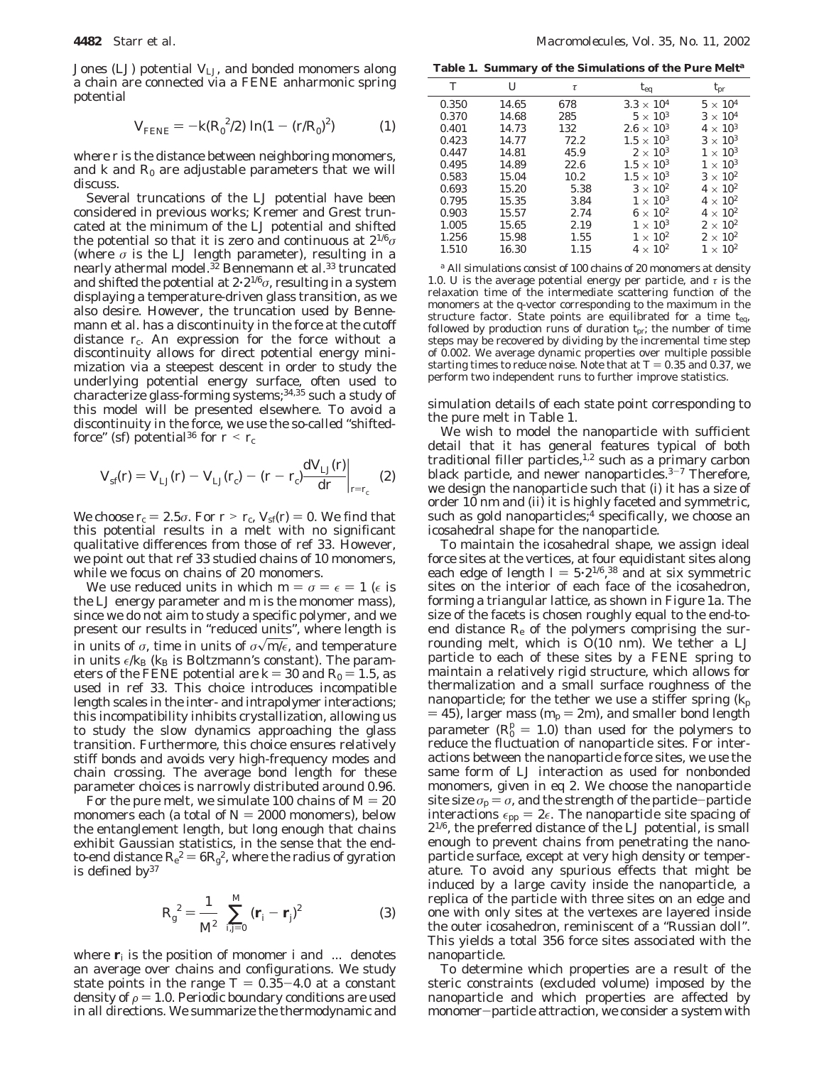Jones (LJ) potential *V*LJ, and bonded monomers along a chain are connected via a FENE anharmonic spring potential

$$
V_{\text{FENE}} = -k(R_0^2/2) \ln(1 - (r/R_0)^2)
$$
 (1)

where *r* is the distance between neighboring monomers, and  $k$  and  $R_0$  are adjustable parameters that we will discuss.

Several truncations of the LJ potential have been considered in previous works; Kremer and Grest truncated at the minimum of the LJ potential and shifted the potential so that it is zero and continuous at 21/6*σ* (where  $\sigma$  is the LJ length parameter), resulting in a nearly athermal model.32 Bennemann et al.33 truncated and shifted the potential at 2'21/6*σ*, resulting in a system displaying a temperature-driven glass transition, as we also desire. However, the truncation used by Bennemann et al. has a discontinuity in the force at the cutoff distance  $r_c$ . An expression for the force without a discontinuity allows for direct potential energy minimization via a steepest descent in order to study the underlying potential energy surface, often used to characterize glass-forming systems;<sup>34,35</sup> such a study of this model will be presented elsewhere. To avoid a discontinuity in the force, we use the so-called "shiftedforce" (sf) potential<sup>36</sup> for  $r < r_c$ 

$$
V_{\rm sf}(r) = V_{\rm LJ}(r) - V_{\rm LJ}(r_{\rm c}) - (r - r_{\rm c}) \frac{\mathrm{d} V_{\rm LJ}(r)}{\mathrm{d} r}\bigg|_{r = r_{\rm c}} \quad (2)
$$

*We choose*  $r_c = 2.5\sigma$ *. For*  $r > r_c$ *,*  $V_{\text{sf}}(r) = 0$ *. We find that* this potential results in a melt with no significant qualitative differences from those of ref 33. However, we point out that ref 33 studied chains of 10 monomers, while we focus on chains of 20 monomers.

We use reduced units in which  $m = \sigma = \epsilon = 1$  ( $\epsilon$  is the LJ energy parameter and *m* is the monomer mass), since we do not aim to study a specific polymer, and we present our results in "reduced units", where length is in units of  $\sigma$ , time in units of  $\sigma \sqrt{m/\epsilon}$ , and temperature in units  $\epsilon/k_B$  ( $k_B$  is Boltzmann's constant). The parameters of the FENE potential are  $k = 30$  and  $R_0 = 1.5$ , as used in ref 33. This choice introduces incompatible length scales in the inter- and intrapolymer interactions; this incompatibility inhibits crystallization, allowing us to study the slow dynamics approaching the glass transition. Furthermore, this choice ensures relatively stiff bonds and avoids very high-frequency modes and chain crossing. The average bond length for these parameter choices is narrowly distributed around 0.96.

For the pure melt, we simulate 100 chains of  $M = 20$ monomers each (a total of  $N = 2000$  monomers), below the entanglement length, but long enough that chains exhibit Gaussian statistics, in the sense that the endto-end distance  $R_e^2 = 6R_g^2$ , where the radius of gyration<br>is defined by<sup>37</sup> is defined by<sup>37</sup>

$$
R_{\rm g}^{\ 2} = \frac{1}{M^2} \left( \sum_{i,j=0}^{M} \left( \mathbf{r}_i - \mathbf{r}_j \right)^2 \right) \tag{3}
$$

where  $\mathbf{r}_i$  is the position of monomer *i* and  $\langle ... \rangle$  denotes an average over chains and configurations. We study state points in the range  $T = 0.35-4.0$  at a constant density of  $\rho = 1.0$ . Periodic boundary conditions are used in all directions. We summarize the thermodynamic and

**Table 1. Summary of the Simulations of the Pure Melt***<sup>a</sup>*

| T     | $\overline{U}$ | $\tau$ | $t_{eq}$            | $t_{pr}$          |
|-------|----------------|--------|---------------------|-------------------|
| 0.350 | 14.65          | 678    | $3.3 \times 10^{4}$ | $5 \times 10^4$   |
| 0.370 | 14.68          | 285    | $5 \times 10^3$     | $3\times10^4$     |
| 0.401 | 14.73          | 132    | $2.6 \times 10^{3}$ | $4 \times 10^3$   |
| 0.423 | 14.77          | 72.2   | $1.5 \times 10^{3}$ | $3 \times 10^3$   |
| 0.447 | 14.81          | 45.9   | $2 \times 10^3$     | $1 \times 10^3$   |
| 0.495 | 14.89          | 22.6   | $1.5 \times 10^{3}$ | $1 \times 10^3$   |
| 0.583 | 15.04          | 10.2   | $1.5 \times 10^{3}$ | $3 \times 10^2$   |
| 0.693 | 15.20          | 5.38   | $3 \times 10^2$     | $4 \times 10^{2}$ |
| 0.795 | 15.35          | 3.84   | $1 \times 10^3$     | $4 \times 10^{2}$ |
| 0.903 | 15.57          | 2.74   | $6 \times 10^2$     | $4 \times 10^{2}$ |
| 1.005 | 15.65          | 2.19   | $1 \times 10^3$     | $2 \times 10^2$   |
| 1.256 | 15.98          | 1.55   | $1 \times 10^2$     | $2 \times 10^2$   |
| 1.510 | 16.30          | 1.15   | $4 \times 10^{2}$   | $1 \times 10^2$   |
|       |                |        |                     |                   |

*<sup>a</sup>* All simulations consist of 100 chains of 20 monomers at density 1.0. *U* is the average potential energy per particle, and *τ* is the relaxation time of the intermediate scattering function of the monomers at the *q*-vector corresponding to the maximum in the structure factor. State points are equilibrated for a time *t*eq, followed by production runs of duration  $t_{\text{pr}}$ ; the number of time steps may be recovered by dividing by the incremental time step of 0.002. We average dynamic properties over multiple possible starting times to reduce noise. Note that at  $T = 0.35$  and 0.37, we perform two independent runs to further improve statistics.

simulation details of each state point corresponding to the pure melt in Table 1.

We wish to model the nanoparticle with sufficient detail that it has general features typical of both traditional filler particles,<sup>1,2</sup> such as a primary carbon black particle, and newer nanoparticles. $3-7$  Therefore, we design the nanoparticle such that (i) it has a size of order 10 nm and (ii) it is highly faceted and symmetric, such as gold nanoparticles;<sup>4</sup> specifically, we choose an icosahedral shape for the nanoparticle.

To maintain the icosahedral shape, we assign ideal force sites at the vertices, at four equidistant sites along each edge of length  $I = 5 \cdot 2^{1/6}$ , <sup>38</sup> and at six symmetric<br>sites on the interior of each face of the icosahedron sites on the interior of each face of the icosahedron, forming a triangular lattice, as shown in Figure 1a. The size of the facets is chosen roughly equal to the end-toend distance  $R_{e}$  of the polymers comprising the surrounding melt, which is *O*(10 nm). We tether a LJ particle to each of these sites by a FENE spring to maintain a relatively rigid structure, which allows for thermalization and a small surface roughness of the nanoparticle; for the tether we use a stiffer spring  $(k_p)$  $=$  45), larger mass ( $m_p = 2m$ ), and smaller bond length parameter  $(R_0^0 = 1.0)$  than used for the polymers to reduce the fluctuation of nanonarticle sites. For interreduce the fluctuation of nanoparticle sites. For interactions between the nanoparticle force sites, we use the same form of LJ interaction as used for nonbonded monomers, given in eq 2. We choose the nanoparticle site size  $\sigma_{\rm p} = \sigma$ , and the strength of the particle-particle interactions  $\epsilon_{\text{pp}} = 2\epsilon$ . The nanoparticle site spacing of 21/6, the preferred distance of the LJ potential, is small enough to prevent chains from penetrating the nanoparticle surface, except at very high density or temperature. To avoid any spurious effects that might be induced by a large cavity inside the nanoparticle, a replica of the particle with three sites on an edge and one with only sites at the vertexes are layered inside the outer icosahedron, reminiscent of a "Russian doll". This yields a total 356 force sites associated with the nanoparticle.

To determine which properties are a result of the steric constraints (excluded volume) imposed by the nanoparticle and which properties are affected by monomer-particle attraction, we consider a system with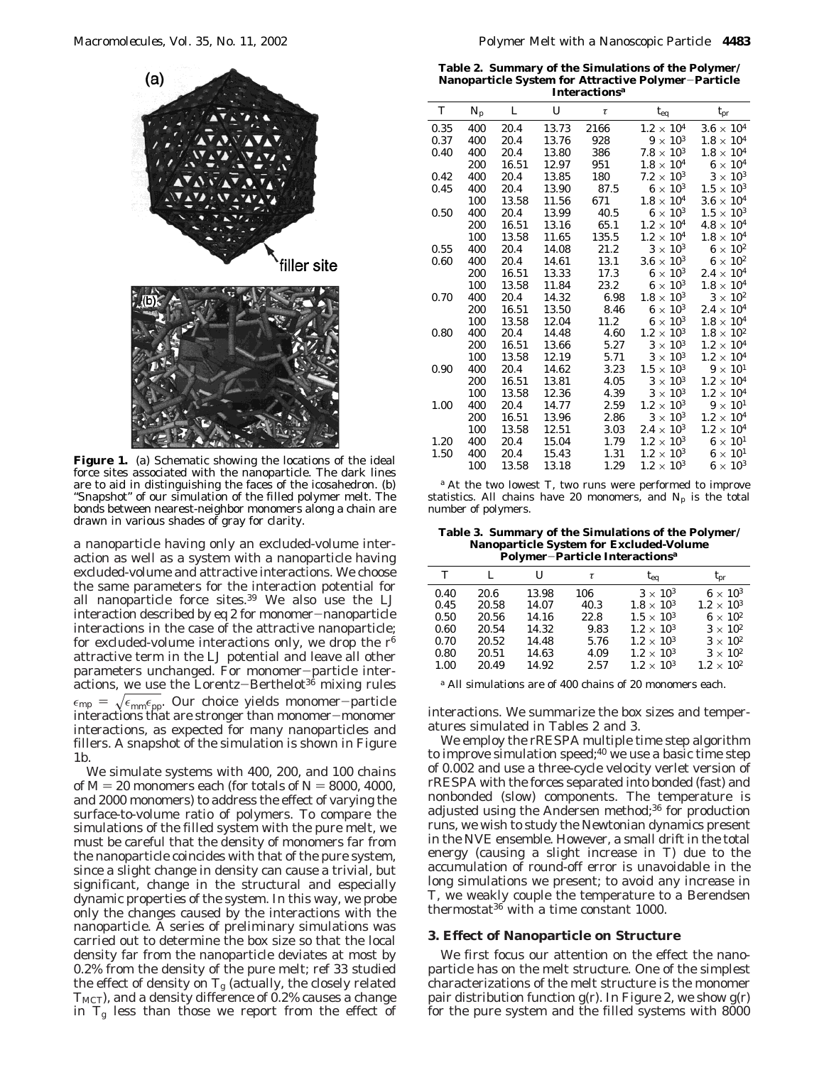

**Figure 1.** (a) Schematic showing the locations of the ideal force sites associated with the nanoparticle. The dark lines are to aid in distinguishing the faces of the icosahedron. (b) "Snapshot" of our simulation of the filled polymer melt. The bonds between nearest-neighbor monomers along a chain are drawn in various shades of gray for clarity.

a nanoparticle having only an excluded-volume interaction as well as a system with a nanoparticle having excluded-volume and attractive interactions. We choose the same parameters for the interaction potential for all nanoparticle force sites.39 We also use the LJ interaction described by eq 2 for monomer-nanoparticle interactions in the case of the attractive nanoparticle; for excluded-volume interactions only, we drop the *r*<sup>6</sup> attractive term in the LJ potential and leave all other parameters unchanged. For monomer-particle interactions, we use the Lorentz-Berthelot<sup>36</sup> mixing rules  $\epsilon_{\rm mp} = \sqrt{\epsilon_{\rm mm} \epsilon_{\rm pp}}$ . Our choice yields monomer-particle interactions that are stronger than monomer-monomer interactions, as expected for many nanoparticles and fillers. A snapshot of the simulation is shown in Figure 1b.

We simulate systems with 400, 200, and 100 chains of  $M = 20$  monomers each (for totals of  $N = 8000, 4000$ , and 2000 monomers) to address the effect of varying the surface-to-volume ratio of polymers. To compare the simulations of the filled system with the pure melt, we must be careful that the density of monomers far from the nanoparticle coincides with that of the pure system, since a slight change in density can cause a trivial, but significant, change in the structural and especially dynamic properties of the system. In this way, we probe only the changes caused by the interactions with the nanoparticle. A series of preliminary simulations was carried out to determine the box size so that the local density far from the nanoparticle deviates at most by 0.2% from the density of the pure melt; ref 33 studied the effect of density on  $T_g$  (actually, the closely related *TMCT*), and a density difference of 0.2% causes a change in  $T_g$  less than those we report from the effect of

**Table 2. Summary of the Simulations of the Polymer/ Nanoparticle System for Attractive Polymer**-**Particle Interactions***<sup>a</sup>*

| T    | $N_p$ | L     | U     | τ     | $t_{eq}$            | $t_{pr}$            |  |
|------|-------|-------|-------|-------|---------------------|---------------------|--|
| 0.35 | 400   | 20.4  | 13.73 | 2166  | $1.2 \times 10^{4}$ | $3.6\times10^4$     |  |
| 0.37 | 400   | 20.4  | 13.76 | 928   | $9 \times 10^3$     | $1.8\times10^4$     |  |
| 0.40 | 400   | 20.4  | 13.80 | 386   | $7.8 \times 10^3$   | $1.8 \times 10^{4}$ |  |
|      | 200   | 16.51 | 12.97 | 951   | $1.8\times10^4$     | $6\times10^4$       |  |
| 0.42 | 400   | 20.4  | 13.85 | 180   | $7.2 \times 10^3$   | $3\times10^3$       |  |
| 0.45 | 400   | 20.4  | 13.90 | 87.5  | $6 \times 10^3$     | $1.5 \times 10^{3}$ |  |
|      | 100   | 13.58 | 11.56 | 671   | $1.8\times10^4$     | $3.6 \times 10^4$   |  |
| 0.50 | 400   | 20.4  | 13.99 | 40.5  | $6 \times 10^3$     | $1.5 \times 10^{3}$ |  |
|      | 200   | 16.51 | 13.16 | 65.1  | $1.2 \times 10^{4}$ | $4.8\times10^4$     |  |
|      | 100   | 13.58 | 11.65 | 135.5 | $1.2 \times 10^{4}$ | $1.8 \times 10^{4}$ |  |
| 0.55 | 400   | 20.4  | 14.08 | 21.2  | $3\times10^3$       | $6 \times 10^2$     |  |
| 0.60 | 400   | 20.4  | 14.61 | 13.1  | $3.6\times10^3$     | $6\times10^2$       |  |
|      | 200   | 16.51 | 13.33 | 17.3  | $6 \times 10^3$     | $2.4 \times 10^{4}$ |  |
|      | 100   | 13.58 | 11.84 | 23.2  | $6 \times 10^3$     | $1.8 \times 10^{4}$ |  |
| 0.70 | 400   | 20.4  | 14.32 | 6.98  | $1.8\times10^3$     | $3 \times 10^2$     |  |
|      | 200   | 16.51 | 13.50 | 8.46  | $6 \times 10^3$     | $2.4\times10^4$     |  |
|      | 100   | 13.58 | 12.04 | 11.2  | $6\times10^3$       | $1.8\times10^4$     |  |
| 0.80 | 400   | 20.4  | 14.48 | 4.60  | $1.2 \times 10^3$   | $1.8\times10^{2}$   |  |
|      | 200   | 16.51 | 13.66 | 5.27  | $3\times10^3$       | $1.2\times10^4$     |  |
|      | 100   | 13.58 | 12.19 | 5.71  | $3\times10^3$       | $1.2 \times 10^{4}$ |  |
| 0.90 | 400   | 20.4  | 14.62 | 3.23  | $1.5 \times 10^{3}$ | $9 \times 10^{1}$   |  |
|      | 200   | 16.51 | 13.81 | 4.05  | $3 \times 10^3$     | $1.2 \times 10^{4}$ |  |
|      | 100   | 13.58 | 12.36 | 4.39  | $3\times10^3$       | $1.2 \times 10^{4}$ |  |
| 1.00 | 400   | 20.4  | 14.77 | 2.59  | $1.2 \times 10^3$   | $9\times10^{1}$     |  |
|      | 200   | 16.51 | 13.96 | 2.86  | $3\times10^3$       | $1.2 \times 10^{4}$ |  |
|      | 100   | 13.58 | 12.51 | 3.03  | $2.4 \times 10^3$   | $1.2 \times 10^{4}$ |  |
| 1.20 | 400   | 20.4  | 15.04 | 1.79  | $1.2 \times 10^{3}$ | $6\times10^{1}$     |  |
| 1.50 | 400   | 20.4  | 15.43 | 1.31  | $1.2 \times 10^{3}$ | $6 \times 10^{1}$   |  |
|      | 100   | 13.58 | 13.18 | 1.29  | $1.2 \times 10^{3}$ | $6 \times 10^3$     |  |
|      |       |       |       |       |                     |                     |  |

*<sup>a</sup>* At the two lowest *T*, two runs were performed to improve statistics. All chains have 20 monomers, and  $N_p$  is the total number of polymers.

**Table 3. Summary of the Simulations of the Polymer/ Nanoparticle System for Excluded-Volume Polymer**-**Particle Interactions***<sup>a</sup>*

| T    | L     | U     | τ    | $t_{eq}$            | $t_{\rm pr}$        |
|------|-------|-------|------|---------------------|---------------------|
| 0.40 | 20.6  | 13.98 | 106  | $3 \times 10^3$     | $6 \times 10^3$     |
| 0.45 | 20.58 | 14.07 | 40.3 | $1.8 \times 10^{3}$ | $1.2 \times 10^{3}$ |
| 0.50 | 20.56 | 14.16 | 22.8 | $1.5 \times 10^{3}$ | $6 \times 10^2$     |
| 0.60 | 20.54 | 14.32 | 9.83 | $1.2 \times 10^{3}$ | $3 \times 10^2$     |
| 0.70 | 20.52 | 14.48 | 5.76 | $1.2 \times 10^{3}$ | $3 \times 10^2$     |
| 0.80 | 20.51 | 14.63 | 4.09 | $1.2 \times 10^{3}$ | $3 \times 10^2$     |
| 1.00 | 20.49 | 14.92 | 2.57 | $1.2 \times 10^{3}$ | $1.2 \times 10^{2}$ |
|      |       |       |      |                     |                     |

*<sup>a</sup>* All simulations are of 400 chains of 20 monomers each.

interactions. We summarize the box sizes and temperatures simulated in Tables 2 and 3.

We employ the rRESPA multiple time step algorithm to improve simulation speed; $40$  we use a basic time step of 0.002 and use a three-cycle velocity verlet version of rRESPA with the forces separated into bonded (fast) and nonbonded (slow) components. The temperature is adjusted using the Andersen method;<sup>36</sup> for production runs, we wish to study the Newtonian dynamics present in the NVE ensemble. However, a small drift in the total energy (causing a slight increase in *T*) due to the accumulation of round-off error is unavoidable in the long simulations we present; to avoid any increase in *T*, we weakly couple the temperature to a Berendsen thermostat $36$  with a time constant 1000.

#### **3. Effect of Nanoparticle on Structure**

We first focus our attention on the effect the nanoparticle has on the melt structure. One of the simplest characterizations of the melt structure is the monomer pair distribution function  $g(t)$ . In Figure 2, we show  $g(t)$ for the pure system and the filled systems with 8000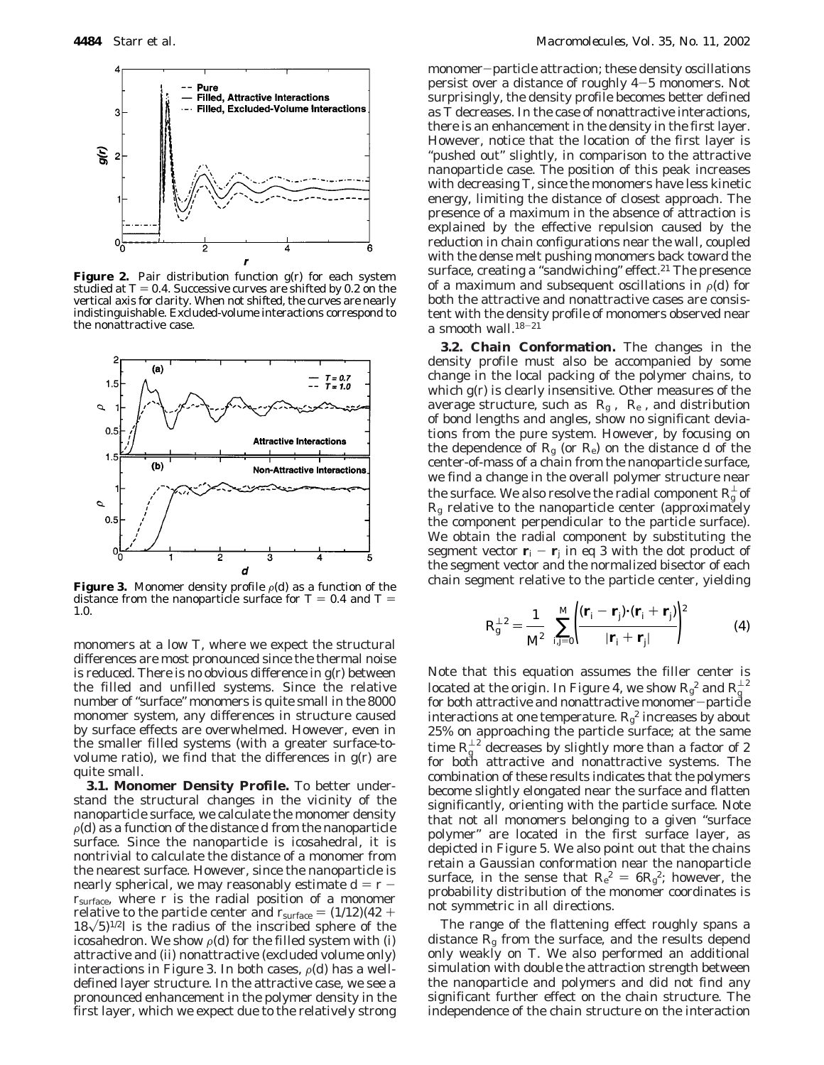

**Figure 2.** Pair distribution function *g*(*r*) for each system studied at  $T = 0.4$ . Successive curves are shifted by 0.2 on the vertical axis for clarity. When not shifted, the curves are nearly indistinguishable. Excluded-volume interactions correspond to the nonattractive case.



**Figure 3.** Monomer density profile  $\rho(d)$  as a function of the distance from the nanoparticle surface for  $T = 0.4$  and  $T =$ 1.0.

monomers at a low *T*, where we expect the structural differences are most pronounced since the thermal noise is reduced. There is no obvious difference in *g*(*r*) between the filled and unfilled systems. Since the relative number of "surface" monomers is quite small in the 8000 monomer system, any differences in structure caused by surface effects are overwhelmed. However, even in the smaller filled systems (with a greater surface-tovolume ratio), we find that the differences in *g*(*r*) are quite small.

**3.1. Monomer Density Profile.** To better understand the structural changes in the vicinity of the nanoparticle surface, we calculate the monomer density  $\rho(d)$  as a function of the distance *d* from the nanoparticle surface. Since the nanoparticle is icosahedral, it is nontrivial to calculate the distance of a monomer from the nearest surface. However, since the nanoparticle is nearly spherical, we may reasonably estimate  $d = r$ *r*surface, where *r* is the radial position of a monomer relative to the particle center and  $r_{\text{surface}} = (1/12)(42 +$  $18\sqrt{5}$ <sup>1/2</sup>*l* is the radius of the inscribed sphere of the icosahedron. We show  $\rho(d)$  for the filled system with (i) attractive and (ii) nonattractive (excluded volume only) interactions in Figure 3. In both cases,  $\rho(d)$  has a welldefined layer structure. In the attractive case, we see a pronounced enhancement in the polymer density in the first layer, which we expect due to the relatively strong

monomer-particle attraction; these density oscillations persist over a distance of roughly 4-5 monomers. Not surprisingly, the density profile becomes better defined as *T* decreases. In the case of nonattractive interactions, there is an enhancement in the density in the first layer. However, notice that the location of the first layer is "pushed out" slightly, in comparison to the attractive nanoparticle case. The position of this peak increases with decreasing *T*, since the monomers have less kinetic energy, limiting the distance of closest approach. The presence of a maximum in the absence of attraction is explained by the effective repulsion caused by the reduction in chain configurations near the wall, coupled with the dense melt pushing monomers back toward the surface, creating a "sandwiching" effect.<sup>21</sup> The presence of a maximum and subsequent oscillations in  $\rho(d)$  for both the attractive and nonattractive cases are consistent with the density profile of monomers observed near a smooth wall. $18-21$ 

**3.2. Chain Conformation.** The changes in the density profile must also be accompanied by some change in the local packing of the polymer chains, to which *g*(*r*) is clearly insensitive. Other measures of the average structure, such as  $\langle R_g \rangle$ ,  $\langle R_e \rangle$ , and distribution of bond lengths and angles, show no significant deviations from the pure system. However, by focusing on the dependence of  $R<sub>g</sub>$  (or  $R<sub>e</sub>$ ) on the distance *d* of the center-of-mass of a chain from the nanoparticle surface, we find a change in the overall polymer structure near the surface. We also resolve the radial component  $R_{\rm g}^{\rm \perp}$  of *R*<sup>g</sup> relative to the nanoparticle center (approximately the component perpendicular to the particle surface). We obtain the radial component by substituting the segment vector  $\mathbf{r}_i - \mathbf{r}_j$  in eq 3 with the dot product of the segment vector and the normalized bisector of each chain segment relative to the particle center, yielding

$$
R_{\rm g}^{\perp 2} = \frac{1}{M^2} \left\{ \sum_{i,j=0}^{M} \left( \frac{(\mathbf{r}_i - \mathbf{r}_j) \cdot (\mathbf{r}_i + \mathbf{r}_j)}{|\mathbf{r}_i + \mathbf{r}_j|} \right)^2 \right\} \tag{4}
$$

Note that this equation assumes the filler center is located at the origin. In Figure 4, we show  $R_{\rm g}^{\rm 2}$  and  $R_{\rm g}^{\rm \perp\,2}$ for both attractive and nonattractive monomer-particle interactions at one temperature.  $R_g^2$  increases by about 25% on approaching the particle surface; at the same time  $R_{\rm g}^{\perp\,2}$  decreases by slightly more than a factor of 2 for both attractive and nonattractive systems. The combination of these results indicates that the polymers become slightly elongated near the surface and flatten significantly, orienting with the particle surface. Note that not all monomers belonging to a given "surface polymer" are located in the first surface layer, as depicted in Figure 5. We also point out that the chains retain a Gaussian conformation near the nanoparticle surface, in the sense that  $R_e^2 = 6R_g^2$ ; however, the probability distribution of the monomer coordinates is probability distribution of the monomer coordinates is not symmetric in all directions.

The range of the flattening effect roughly spans a distance  $R_{g}$  from the surface, and the results depend only weakly on *T*. We also performed an additional simulation with double the attraction strength between the nanoparticle and polymers and did not find any significant further effect on the chain structure. The independence of the chain structure on the interaction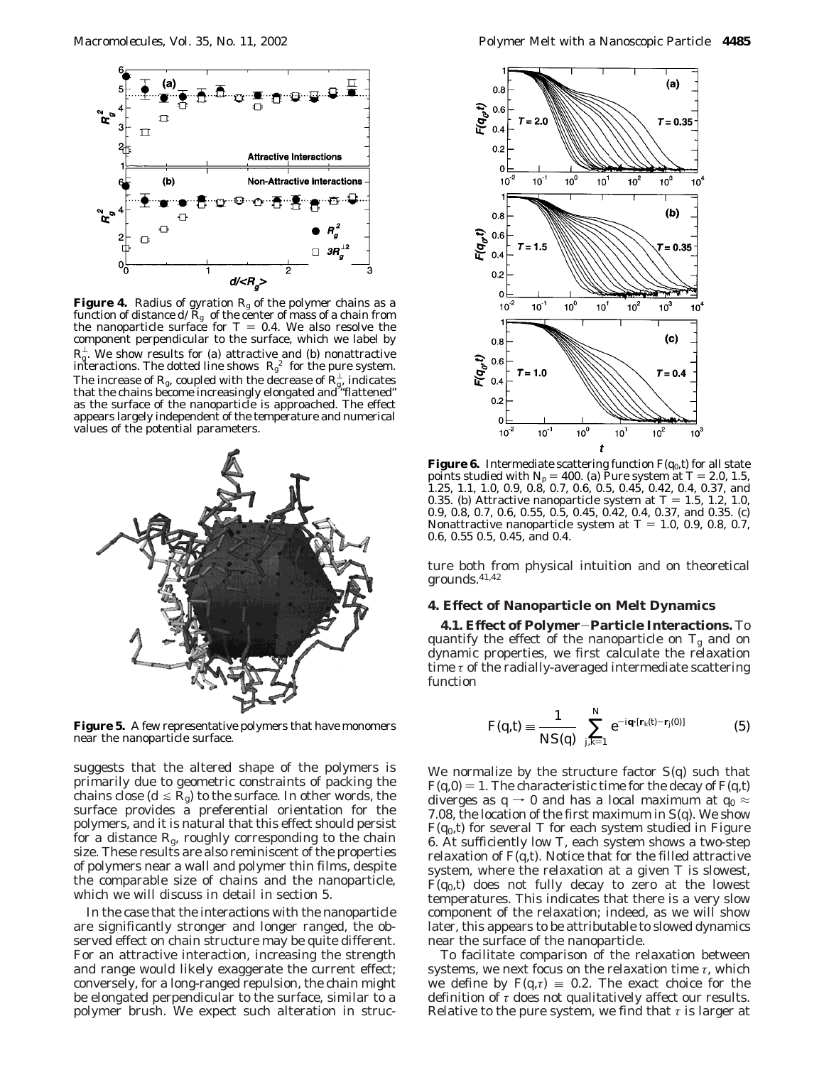

**Figure 4.** Radius of gyration  $R<sub>g</sub>$  of the polymer chains as a function of distance  $d\langle R_{g}\rangle$  of the center of mass of a chain from the nanoparticle surface for  $T = 0.4$ . We also resolve the component perpendicular to the surface, which we label by  $R_{\rm g}^{\perp}$ . We show results for (a) attractive and (b) nonattractive interactions. The dotted line shows  $\langle R_{\rm g}^2 \rangle$  for the pure system. The increase of  $R_{\rm g}$ , coupled with the decrease of  $R_{\rm g}^{\rm L}$ , indicates that the chains become increasingly elongated and "flattened" as the surface of the nanoparticle is approached. The effect appears largely independent of the temperature and numerical values of the potential parameters.



**Figure 5.** A few representative polymers that have monomers near the nanoparticle surface.

suggests that the altered shape of the polymers is primarily due to geometric constraints of packing the chains close ( $d \le R_g$ ) to the surface. In other words, the surface provides a preferential orientation for the polymers, and it is natural that this effect should persist for a distance *R*g, roughly corresponding to the chain size. These results are also reminiscent of the properties of polymers near a wall and polymer thin films, despite the comparable size of chains and the nanoparticle, which we will discuss in detail in section 5.

In the case that the interactions with the nanoparticle are significantly stronger and longer ranged, the observed effect on chain structure may be quite different. For an attractive interaction, increasing the strength and range would likely exaggerate the current effect; conversely, for a long-ranged repulsion, the chain might be elongated perpendicular to the surface, similar to a polymer brush. We expect such alteration in struc-



**Figure 6.** Intermediate scattering function  $F(q_0, t)$  for all state points studied with  $N_p = 400$ . (a) Pure system at  $T = 2.0, 1.5$ , 1.25, 1.1, 1.0, 0.9, 0.8, 0.7, 0.6, 0.5, 0.45, 0.42, 0.4, 0.37, and 0.35. (b) Attractive nanoparticle system at  $T = 1.5, 1.2, 1.0$ , 0.9, 0.8, 0.7, 0.6, 0.55, 0.5, 0.45, 0.42, 0.4, 0.37, and 0.35. (c) Nonattractive nanoparticle system at  $T = 1.0, 0.9, 0.8, 0.7$ , 0.6, 0.55 0.5, 0.45, and 0.4.

ture both from physical intuition and on theoretical grounds.41,42

#### **4. Effect of Nanoparticle on Melt Dynamics**

**4.1. Effect of Polymer**-**Particle Interactions.** To quantify the effect of the nanoparticle on  $T_g$  and on dynamic properties, we first calculate the relaxation time *τ* of the radially-averaged intermediate scattering function

$$
F(q,t) \equiv \frac{1}{NS(q)} \left\langle \sum_{j,k=1}^{N} e^{-i\mathbf{q} \cdot [\mathbf{r}_k(t) - \mathbf{r}_j(0)]} \right\rangle
$$
 (5)

We normalize by the structure factor *S*(*q*) such that  $F(q,0) = 1$ . The characteristic time for the decay of  $F(q,t)$ diverges as  $q \rightarrow 0$  and has a local maximum at  $q_0 \approx$ 7.08, the location of the first maximum in *S*(*q*). We show *F*(*q*0,*t*) for several *T* for each system studied in Figure 6. At sufficiently low *T*, each system shows a two-step relaxation of  $F(q,t)$ . Notice that for the filled attractive system, where the relaxation at a given *T* is slowest,  $F(q_0,t)$  does not fully decay to zero at the lowest temperatures. This indicates that there is a very slow component of the relaxation; indeed, as we will show later, this appears to be attributable to slowed dynamics near the surface of the nanoparticle.

To facilitate comparison of the relaxation between systems, we next focus on the relaxation time *τ*, which we define by  $F(q, \tau) = 0.2$ . The exact choice for the definition of *τ* does not qualitatively affect our results. Relative to the pure system, we find that *τ* is larger at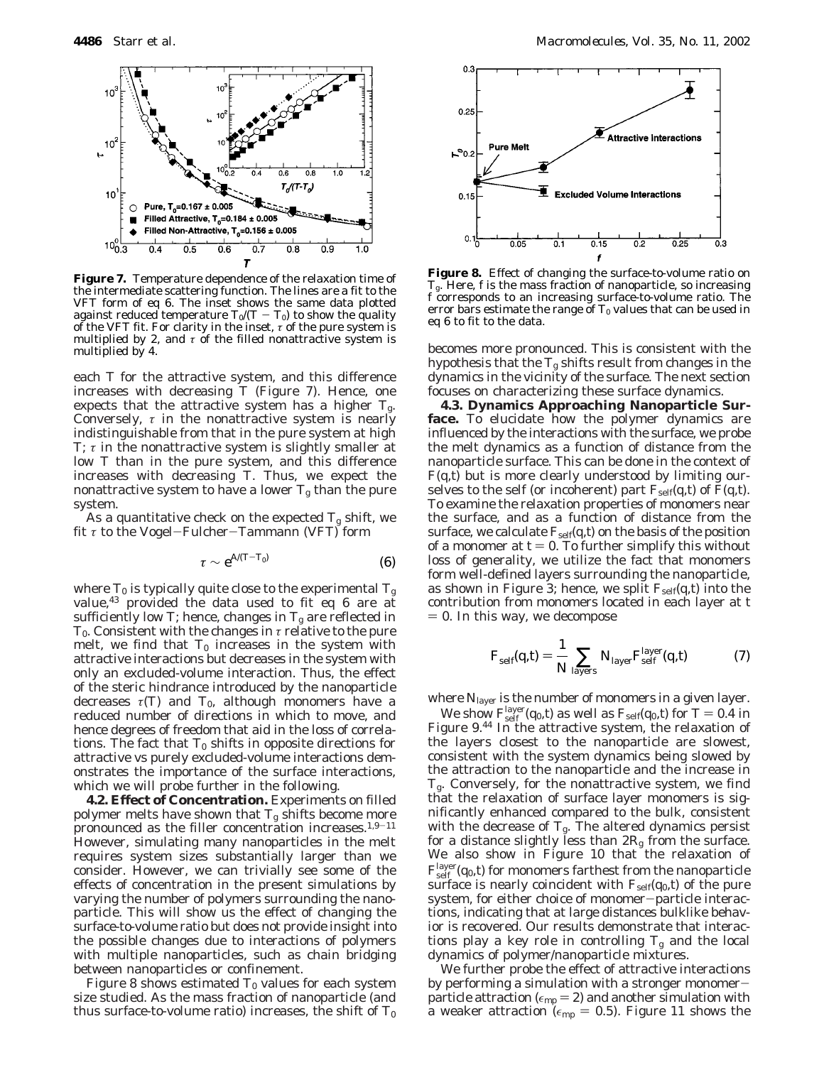

**Figure 7.** Temperature dependence of the relaxation time of the intermediate scattering function. The lines are a fit to the VFT form of eq 6. The inset shows the same data plotted against reduced temperature  $T_0/(T-T_0)$  to show the quality of the VFT fit. For clarity in the inset,  $\tau$  of the pure system is multiplied by 2, and  $\tau$  of the filled nonattractive system is multiplied by 4.

each *T* for the attractive system, and this difference increases with decreasing  $T$  (Figure 7). Hence, one expects that the attractive system has a higher  $T_{\text{g}}$ . Conversely,  $\tau$  in the nonattractive system is nearly indistinguishable from that in the pure system at high *T*; *τ* in the nonattractive system is slightly smaller at low *T* than in the pure system, and this difference increases with decreasing *T*. Thus, we expect the nonattractive system to have a lower  $T_{\rm g}$  than the pure system.

As a quantitative check on the expected  $T_g$  shift, we fit *<sup>τ</sup>* to the Vogel-Fulcher-Tammann (VFT) form

$$
\tau \sim e^{A/(T-T_0)} \tag{6}
$$

where  $T_0$  is typically quite close to the experimental  $T_g$ value,  $43$  provided the data used to fit eq 6 are at sufficiently low *T*; hence, changes in  $T_g$  are reflected in *T*0. Consistent with the changes in *τ* relative to the pure melt, we find that  $T_0$  increases in the system with attractive interactions but decreases in the system with only an excluded-volume interaction. Thus, the effect of the steric hindrance introduced by the nanoparticle decreases  $\tau(T)$  and  $T_0$ , although monomers have a reduced number of directions in which to move, and hence degrees of freedom that aid in the loss of correlations. The fact that  $T_0$  shifts in opposite directions for attractive vs purely excluded-volume interactions demonstrates the importance of the surface interactions, which we will probe further in the following.

**4.2. Effect of Concentration.** Experiments on filled polymer melts have shown that  $T_g$  shifts become more pronounced as the filler concentration increases.<sup>1,9-11</sup> However, simulating many nanoparticles in the melt requires system sizes substantially larger than we consider. However, we can trivially see some of the effects of concentration in the present simulations by varying the number of polymers surrounding the nanoparticle. This will show us the effect of changing the surface-to-volume ratio but does not provide insight into the possible changes due to interactions of polymers with multiple nanoparticles, such as chain bridging between nanoparticles or confinement.

Figure 8 shows estimated  $T_0$  values for each system size studied. As the mass fraction of nanoparticle (and thus surface-to-volume ratio) increases, the shift of  $T_0$ 



**Figure 8.** Effect of changing the surface-to-volume ratio on *T*g. Here, *f* is the mass fraction of nanoparticle, so increasing *f* corresponds to an increasing surface-to-volume ratio. The error bars estimate the range of  $T_0$  values that can be used in eq 6 to fit to the data.

becomes more pronounced. This is consistent with the hypothesis that the  $T_g$  shifts result from changes in the dynamics in the vicinity of the surface. The next section focuses on characterizing these surface dynamics.

**4.3. Dynamics Approaching Nanoparticle Surface.** To elucidate how the polymer dynamics are influenced by the interactions with the surface, we probe the melt dynamics as a function of distance from the nanoparticle surface. This can be done in the context of  $F(q,t)$  but is more clearly understood by limiting ourselves to the self (or incoherent) part  $F_{\text{self}}(q,t)$  of  $F(q,t)$ . To examine the relaxation properties of monomers near the surface, and as a function of distance from the surface, we calculate  $F_{self}(q, t)$  on the basis of the position of a monomer at  $t = 0$ . To further simplify this without loss of generality, we utilize the fact that monomers form well-defined layers surrounding the nanoparticle, as shown in Figure 3; hence, we split  $F_{\text{self}}(q,t)$  into the contribution from monomers located in each layer at *t*  $= 0$ . In this way, we decompose

$$
F_{\text{self}}(q,t) = \frac{1}{N} \sum_{\text{layers}} N_{\text{layer}} F_{\text{self}}^{\text{layer}}(q,t) \tag{7}
$$

where *N*layer is the number of monomers in a given layer.

We show  $F^{\text{layer}}_{\text{self}}(q_0, t)$  as well as  $F_{\text{self}}(q_0, t)$  for  $T = 0.4$  in gure 9.44 In the attractive system, the relaxation of Figure 9.44 In the attractive system, the relaxation of the layers closest to the nanoparticle are slowest, consistent with the system dynamics being slowed by the attraction to the nanoparticle and the increase in *T*g. Conversely, for the nonattractive system, we find that the relaxation of surface layer monomers is significantly enhanced compared to the bulk, consistent with the decrease of  $T_g$ . The altered dynamics persist for a distance slightly less than 2*R*<sup>g</sup> from the surface. We also show in Figure 10 that the relaxation of  $F^{\text{layer}}_{\text{self}}(q_0,t)$  for monomers farthest from the nanoparticle surface is nearly coincident with  $F_{\text{self}}(q_0, t)$  of the pure system, for either choice of monomer-particle interactions, indicating that at large distances bulklike behavior is recovered. Our results demonstrate that interactions play a key role in controlling  $T_g$  and the local dynamics of polymer/nanoparticle mixtures.

We further probe the effect of attractive interactions by performing a simulation with a stronger monomerparticle attraction ( $\epsilon_{mp}$  = 2) and another simulation with a weaker attraction ( $\epsilon_{mp} = 0.5$ ). Figure 11 shows the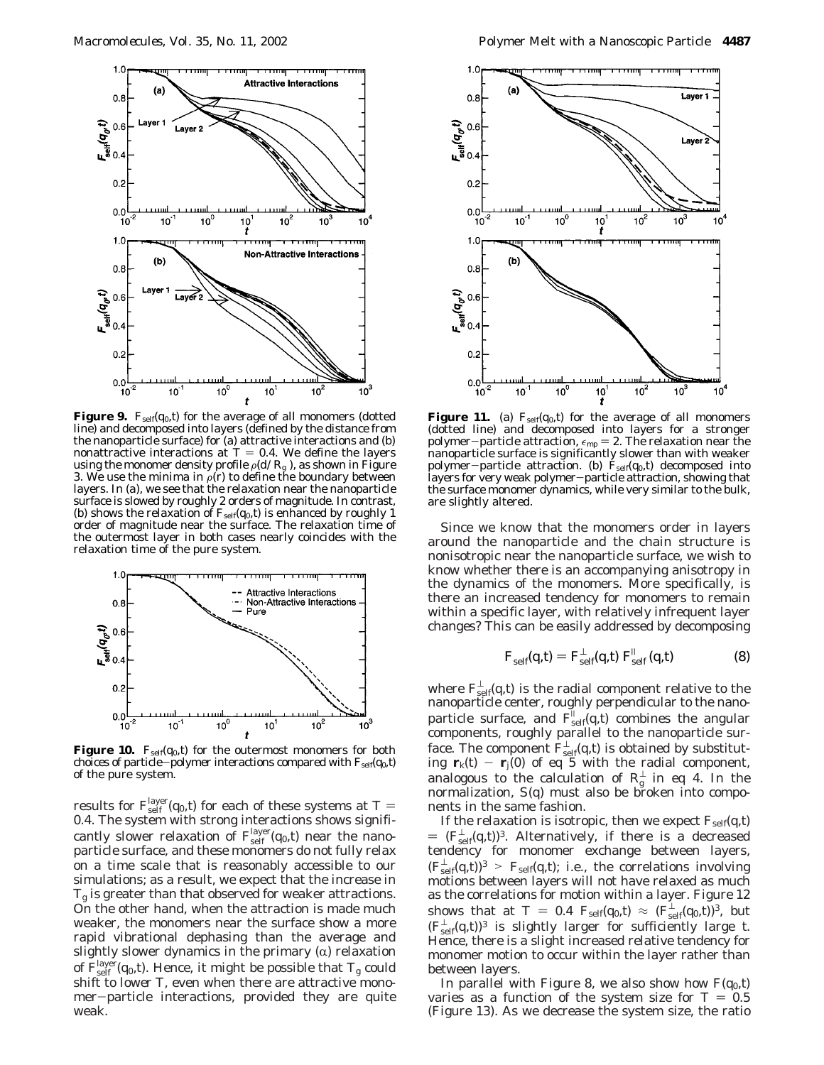

**Figure 9.**  $F_{self}(q_0, t)$  for the average of all monomers (dotted line) and decomposed into layers (defined by the distance from the nanoparticle surface) for (a) attractive interactions and (b) nonattractive interactions at  $T = 0.4$ . We define the layers using the monomer density profile  $\rho(d\langle R_{\rm g}\rangle)$ , as shown in Figure 3. We use the minima in  $\rho(r)$  to define the boundary between layers. In (a), we see that the relaxation near the nanoparticle surface is slowed by roughly 2 orders of magnitude. In contrast, (b) shows the relaxation of  $F_{self}(q_0, t)$  is enhanced by roughly 1 order of magnitude near the surface. The relaxation time of the outermost layer in both cases nearly coincides with the relaxation time of the pure system.



**Figure 10.**  $F_{self}(q_0, t)$  for the outermost monomers for both choices of particle-polymer interactions compared with  $F_{\text{self}}(q_0, t)$ of the pure system.

results for  $F_{\text{self}}^{\text{layer}}(q_0, t)$  for each of these systems at  $T = 0.4$  The system with strong interactions shows signifi-0.4. The system with strong interactions shows significantly slower relaxation of  $F_{\text{self}}^{\text{layer}}(q_0, t)$  near the nanoparticle surface, and these monomers do not fully relax on a time scale that is reasonably accessible to our simulations; as a result, we expect that the increase in *T*<sup>g</sup> is greater than that observed for weaker attractions. On the other hand, when the attraction is made much weaker, the monomers near the surface show a more rapid vibrational dephasing than the average and slightly slower dynamics in the primary  $(\alpha)$  relaxation of  $F_{\rm self}^{\rm layer}(q_0,t)$ . Hence, it might be possible that  $T_{\rm g}$  could shift to *lower T*, even when there are attractive monomer-particle interactions, provided they are quite weak.



**Figure 11.** (a)  $F_{\text{self}}(q_0, t)$  for the average of all monomers (dotted line) and decomposed into layers for a stronger polymer-particle attraction,  $\epsilon_{mp} = 2$ . The relaxation near the nanoparticle surface is significantly slower than with weaker polymer-particle attraction. (b)  $F_{self}(q_0, t)$  decomposed into layers for very weak polymer-particle attraction, showing that the surface monomer dynamics, while very similar to the bulk, are slightly altered.

Since we know that the monomers order in layers around the nanoparticle and the chain structure is nonisotropic near the nanoparticle surface, we wish to know whether there is an accompanying anisotropy in the dynamics of the monomers. More specifically, is there an increased tendency for monomers to remain within a specific layer, with relatively infrequent layer changes? This can be easily addressed by decomposing

$$
F_{\text{self}}(q,t) = F_{\text{self}}^{\perp}(q,t) F_{\text{self}}^{\parallel}(q,t)
$$
 (8)

where  $F_{\rm self}^{\perp}(q,t)$  is the radial component relative to the nanoparticle center, roughly perpendicular to the nanoparticle surface, and  $F_{\text{self}}^{||}(q,t)$  combines the angular components, roughly parallel to the nanoparticle surface. The component  $F_{\rm self}^{\perp}(q,t)$  is obtained by substituting  $\mathbf{r}_k(t) - \mathbf{r}_j(0)$  of eq 5 with the radial component, analogous to the calculation of  $R_g^{\perp}$  in eq 4. In the normalization, *S*(*q*) must also be broken into components in the same fashion.

If the relaxation is isotropic, then we expect  $F_{\text{self}}(q,t)$  $=(F_{\text{self}}^{\perp}(q, t))^3$ . Alternatively, if there is a decreased<br>tendency for monomer exchange between layers tendency for monomer exchange between layers,  $(F_{\text{self}}^{\perp}(q, t))^3 > F_{\text{self}}(q, t)$ ; i.e., the correlations involving motions between layers will not have relaxed as much motions between layers will not have relaxed as much as the correlations for motion within a layer. Figure 12 shows that at  $T = 0.4$   $F_{\text{self}}(q_0, t) \approx (F_{\text{self}}^{\perp}(q_0, t))^3$ , but  $(F^{\perp}(q_0, t))^3$  is slightly large for sufficiently large to  $(F_{\text{self}}^{\perp}(q,t))$ <sup>3</sup> is slightly larger for sufficiently large *t*. Hence, there is a slight increased relative tendency for monomer motion to occur within the layer rather than between layers.

In parallel with Figure 8, we also show how  $F(q_0, t)$ varies as a function of the system size for  $T = 0.5$ (Figure 13). As we decrease the system size, the ratio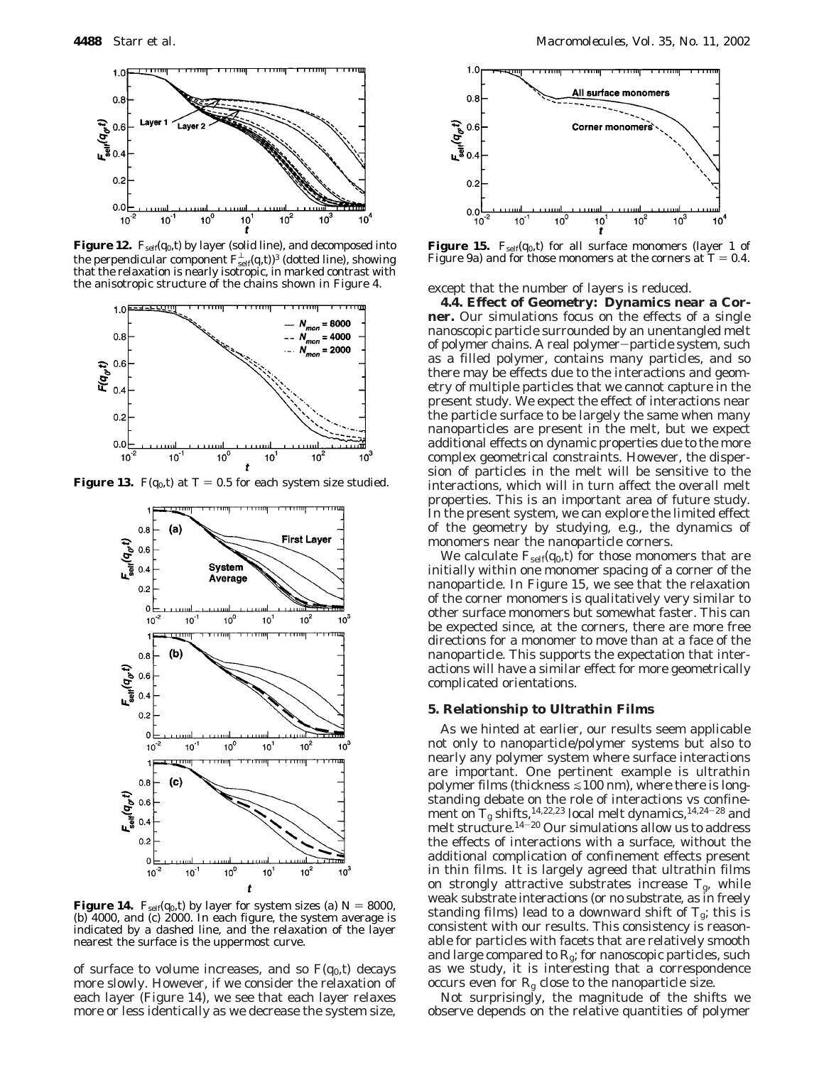

**Figure 12.**  $F_{self}(q_0, t)$  by layer (solid line), and decomposed into the perpendicular component  $F_{\text{self}}^{\!\bot}(q,t)^3$  (dotted line), showing that the relaxation is nearly isotropic, in marked contrast with the anisotropic structure of the chains shown in Figure 4.



**Figure 13.**  $F(q_0, t)$  at  $T = 0.5$  for each system size studied.



**Figure 14.**  $F_{self}(q_0, t)$  by layer for system sizes (a)  $N = 8000$ , (b) 4000, and (c) 2000. In each figure, the system average is indicated by a dashed line, and the relaxation of the layer nearest the surface is the uppermost curve.

of surface to volume increases, and so  $F(q_0, t)$  decays more slowly. However, if we consider the relaxation of each layer (Figure 14), we see that each layer relaxes more or less identically as we decrease the system size,



**Figure 15.**  $F_{self}(q_0, t)$  for all surface monomers (layer 1 of Figure 9a) and for those monomers at the corners at  $T = 0.4$ .

except that the number of layers is reduced.

**4.4. Effect of Geometry: Dynamics near a Corner.** Our simulations focus on the effects of a single nanoscopic particle surrounded by an unentangled melt of polymer chains. A real polymer-particle system, such as a filled polymer, contains many particles, and so there may be effects due to the interactions and geometry of multiple particles that we cannot capture in the present study. We expect the effect of interactions near the particle surface to be largely the same when many nanoparticles are present in the melt, but we expect additional effects on dynamic properties due to the more complex geometrical constraints. However, the dispersion of particles in the melt will be sensitive to the interactions, which will in turn affect the overall melt properties. This is an important area of future study. In the present system, we can explore the limited effect of the geometry by studying, e.g., the dynamics of monomers near the nanoparticle corners.

We calculate  $F_{\text{self}}(q_0, t)$  for those monomers that are initially within one monomer spacing of a corner of the nanoparticle. In Figure 15, we see that the relaxation of the corner monomers is qualitatively very similar to other surface monomers but somewhat faster. This can be expected since, at the corners, there are more free directions for a monomer to move than at a face of the nanoparticle. This supports the expectation that interactions will have a similar effect for more geometrically complicated orientations.

### **5. Relationship to Ultrathin Films**

As we hinted at earlier, our results seem applicable not only to nanoparticle/polymer systems but also to nearly any polymer system where surface interactions are important. One pertinent example is ultrathin polymer films (thickness  $\leq 100$  nm), where there is longstanding debate on the role of interactions vs confinement on  $T_g$  shifts,<sup>14,22,23</sup> local melt dynamics,<sup>14,24–28</sup> and melt structure.14-<sup>20</sup> Our simulations allow us to address the effects of interactions with a surface, without the additional complication of confinement effects present in thin films. It is largely agreed that ultrathin films on strongly attractive substrates increase  $T_{\rm g}$ , while weak substrate interactions (or no substrate, as in freely standing films) lead to a downward shift of  $T_g$ ; this is consistent with our results. This consistency is reasonable for particles with facets that are relatively smooth and large compared to  $R_g$ ; for nanoscopic particles, such as we study, it is interesting that a correspondence occurs even for  $R<sub>g</sub>$  close to the nanoparticle size.

Not surprisingly, the magnitude of the shifts we observe depends on the relative quantities of polymer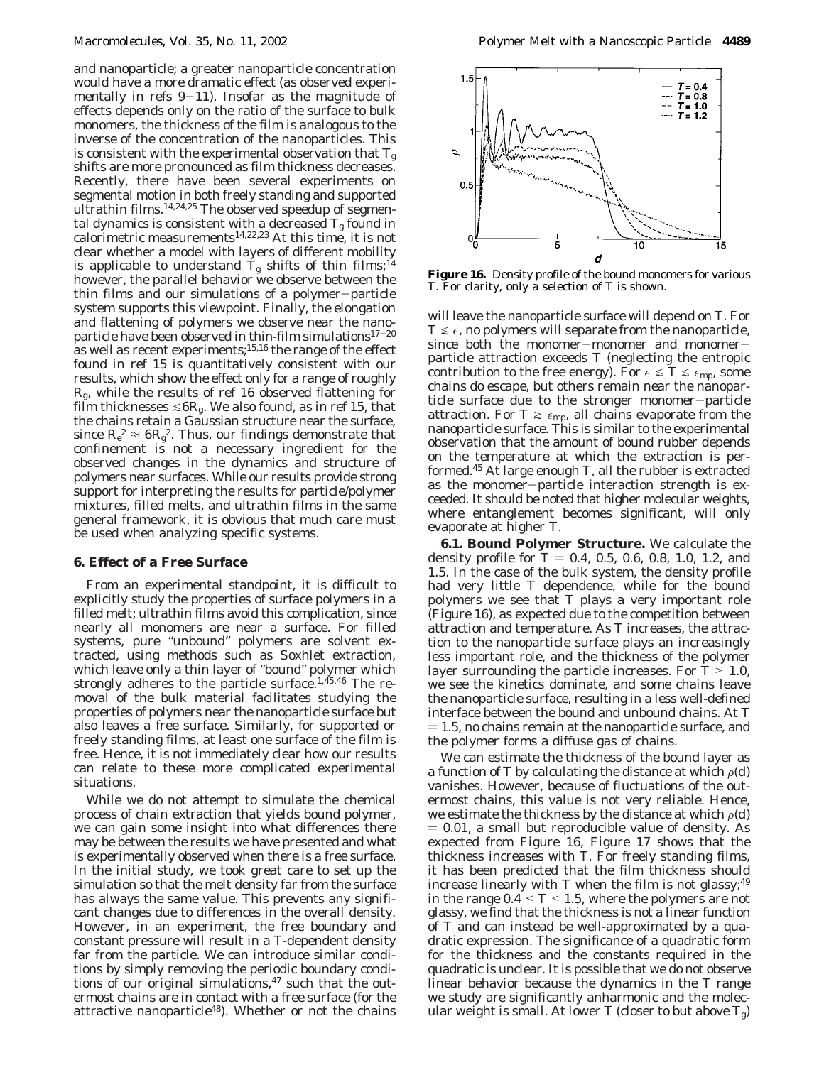and nanoparticle; a greater nanoparticle concentration would have a more dramatic effect (as observed experimentally in refs  $9-11$ ). Insofar as the magnitude of effects depends only on the ratio of the surface to bulk monomers, the thickness of the film is analogous to the inverse of the concentration of the nanoparticles. This is consistent with the experimental observation that  $T_g$ shifts are more pronounced as film thickness decreases. Recently, there have been several experiments on segmental motion in both freely standing and supported ultrathin films.<sup>14,24,25</sup> The observed speedup of segmental dynamics is consistent with a decreased  $T_{\mathrm{g}}$  found in calorimetric measurements14,22,23 At this time, it is not clear whether a model with layers of different mobility is applicable to understand  $T_{\rm g}$  shifts of thin films;<sup>14</sup> however, the parallel behavior we observe between the thin films and our simulations of a polymer-particle system supports this viewpoint. Finally, the elongation and flattening of polymers we observe near the nanoparticle have been observed in thin-film simulations $17-20$ as well as recent experiments;<sup>15,16</sup> the range of the effect found in ref 15 is quantitatively consistent with our results, which show the effect only for a range of roughly *R*g, while the results of ref 16 observed flattening for film thicknesses  $\leq 6R_g$ . We also found, as in ref 15, that the chains retain a Gaussian structure near the surface, since  $R_e^2 \approx 6R_g^2$ . Thus, our findings demonstrate that confinement is not a necessary ingredient for the observed changes in the dynamics and structure of polymers near surfaces. While our results provide strong support for interpreting the results for particle/polymer mixtures, filled melts, and ultrathin films in the same general framework, it is obvious that much care must be used when analyzing specific systems.

### **6. Effect of a Free Surface**

From an experimental standpoint, it is difficult to explicitly study the properties of surface polymers in a filled melt; ultrathin films avoid this complication, since nearly all monomers are near a surface. For filled systems, pure "unbound" polymers are solvent extracted, using methods such as Soxhlet extraction, which leave only a thin layer of "bound" polymer which strongly adheres to the particle surface.<sup>1,45,46</sup> The removal of the bulk material facilitates studying the properties of polymers near the nanoparticle surface but also leaves a free surface. Similarly, for supported or freely standing films, at least one surface of the film is free. Hence, it is not immediately clear how our results can relate to these more complicated experimental situations.

While we do not attempt to simulate the chemical process of chain extraction that yields bound polymer, we can gain some insight into what differences there may be between the results we have presented and what is experimentally observed when there is a free surface. In the initial study, we took great care to set up the simulation so that the melt density far from the surface has always the same value. This prevents any significant changes due to differences in the overall density. However, in an experiment, the free boundary and constant pressure will result in a *T*-dependent density far from the particle. We can introduce similar conditions by simply removing the periodic boundary conditions of our original simulations, $47$  such that the outermost chains are in contact with a free surface (for the attractive nanoparticle<sup>48</sup>). Whether or not the chains



**Figure 16.** Density profile of the bound monomers for various *T*. For clarity, only a selection of *T* is shown.

will leave the nanoparticle surface will depend on *T*. For  $T \leq \epsilon$ , no polymers will separate from the nanoparticle, since both the monomer-monomer and monomerparticle attraction exceeds *T* (neglecting the entropic contribution to the free energy). For  $\epsilon \leq T \leq \epsilon_{\rm mp}$ , some chains do escape, but others remain near the nanoparticle surface due to the stronger monomer-particle attraction. For  $T \ge \epsilon_{\rm mp}$ , all chains evaporate from the nanoparticle surface. This is similar to the experimental observation that the amount of bound rubber depends on the temperature at which the extraction is performed.45 At large enough *T*, all the rubber is extracted as the monomer-particle interaction strength is exceeded. It should be noted that higher molecular weights, where entanglement becomes significant, will only evaporate at higher *T*.

**6.1. Bound Polymer Structure.** We calculate the density profile for  $T = 0.4, 0.5, 0.6, 0.8, 1.0, 1.2,$  and 1.5. In the case of the bulk system, the density profile had very little *T* dependence, while for the bound polymers we see that *T* plays a very important role (Figure 16), as expected due to the competition between attraction and temperature. As *T* increases, the attraction to the nanoparticle surface plays an increasingly less important role, and the thickness of the polymer layer surrounding the particle increases. For *<sup>T</sup>* > 1.0, we see the kinetics dominate, and some chains leave the nanoparticle surface, resulting in a less well-defined interface between the bound and unbound chains. At *T*  $= 1.5$ , no chains remain at the nanoparticle surface, and the polymer forms a diffuse gas of chains.

We can estimate the thickness of the bound layer as a function of *T* by calculating the distance at which  $\rho(d)$ vanishes. However, because of fluctuations of the outermost chains, this value is not very reliable. Hence, we estimate the thickness by the distance at which  $\rho(d)$  $= 0.01$ , a small but reproducible value of density. As expected from Figure 16, Figure 17 shows that the thickness increases with *T*. For freely standing films, it has been predicted that the film thickness should increase linearly with  $T$  when the film is not glassy;<sup>49</sup> in the range  $0.4 \leq T \leq 1.5$ , where the polymers are not glassy, we find that the thickness is not a linear function of *T* and can instead be well-approximated by a quadratic expression. The significance of a quadratic form for the thickness and the constants required in the quadratic is unclear. It is possible that we do not observe linear behavior because the dynamics in the *T* range we study are significantly anharmonic and the molecular weight is small. At lower  $T$  (closer to but above  $T_g$ )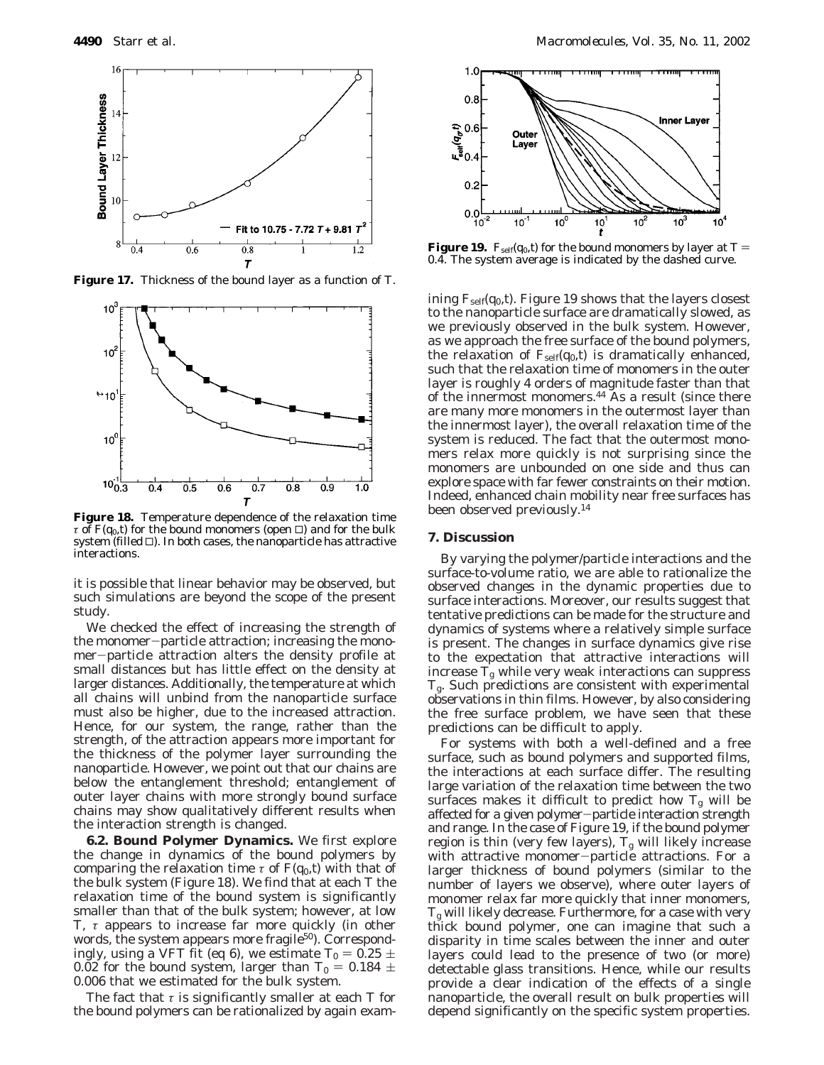

**Figure 17.** Thickness of the bound layer as a function of *T*.



**Figure 18.** Temperature dependence of the relaxation time  $\tau$  of  $F(q_0, t)$  for the bound monomers (open  $\Box$ ) and for the bulk system (filled  $\Box$ ). In both cases, the nanoparticle has attractive interactions.

it is possible that linear behavior may be observed, but such simulations are beyond the scope of the present study.

We checked the effect of increasing the strength of the monomer-particle attraction; increasing the monomer-particle attraction alters the density profile at small distances but has little effect on the density at larger distances. Additionally, the temperature at which all chains will unbind from the nanoparticle surface must also be higher, due to the increased attraction. Hence, for our system, the range, rather than the strength, of the attraction appears more important for the thickness of the polymer layer surrounding the nanoparticle. However, we point out that our chains are below the entanglement threshold; entanglement of outer layer chains with more strongly bound surface chains may show qualitatively different results when the interaction strength is changed.

**6.2. Bound Polymer Dynamics.** We first explore the change in dynamics of the bound polymers by comparing the relaxation time  $\tau$  of  $F(q_0,t)$  with that of the bulk system (Figure 18). We find that at each *T* the relaxation time of the bound system is significantly smaller than that of the bulk system; however, at low *T*, *τ* appears to increase far more quickly (in other words, the system appears more fragile<sup>50</sup>). Correspondingly, using a VFT fit (eq 6), we estimate  $T_0 = 0.25 \pm 0.25$ 0.02 for the bound system, larger than  $T_0 = 0.184 \pm 0.02$ 0.006 that we estimated for the bulk system.

The fact that *τ* is significantly smaller at each *T* for the bound polymers can be rationalized by again exam-



**Figure 19.**  $F_{self}(q_0, t)$  for the bound monomers by layer at  $T =$ 0.4. The system average is indicated by the dashed curve.

ining  $F_{\text{self}}(q_0, t)$ . Figure 19 shows that the layers closest to the nanoparticle surface are dramatically slowed, as we previously observed in the bulk system. However, as we approach the free surface of the bound polymers, the relaxation of  $F_{\text{self}}(q_0,t)$  is dramatically enhanced, such that the relaxation time of monomers in the outer layer is roughly 4 orders of magnitude faster than that of the innermost monomers.44 As a result (since there are many more monomers in the outermost layer than the innermost layer), the overall relaxation time of the system is reduced. The fact that the outermost monomers relax more quickly is not surprising since the monomers are unbounded on one side and thus can explore space with far fewer constraints on their motion. Indeed, enhanced chain mobility near free surfaces has been observed previously.14

#### **7. Discussion**

By varying the polymer/particle interactions and the surface-to-volume ratio, we are able to rationalize the observed changes in the dynamic properties due to surface interactions. Moreover, our results suggest that tentative predictions can be made for the structure and dynamics of systems where a relatively simple surface is present. The changes in surface dynamics give rise to the expectation that attractive interactions will increase  $\bar{T}_{\rm g}$  while very weak interactions can suppress *T*g. Such predictions are consistent with experimental observations in thin films. However, by also considering the free surface problem, we have seen that these predictions can be difficult to apply.

For systems with both a well-defined and a free surface, such as bound polymers and supported films, the interactions at each surface differ. The resulting large variation of the relaxation time between the two surfaces makes it difficult to predict how  $T_g$  will be affected for a given polymer-particle interaction strength and range. In the case of Figure 19, if the bound polymer region is thin (very few layers),  $T_{\rm g}$  will likely increase with attractive monomer-particle attractions. For a larger thickness of bound polymers (similar to the number of layers we observe), where outer layers of monomer relax far more quickly that inner monomers, *T*<sup>g</sup> will likely decrease. Furthermore, for a case with very thick bound polymer, one can imagine that such a disparity in time scales between the inner and outer layers could lead to the presence of two (or more) detectable glass transitions. Hence, while our results provide a clear indication of the effects of a single nanoparticle, the overall result on bulk properties will depend significantly on the specific system properties.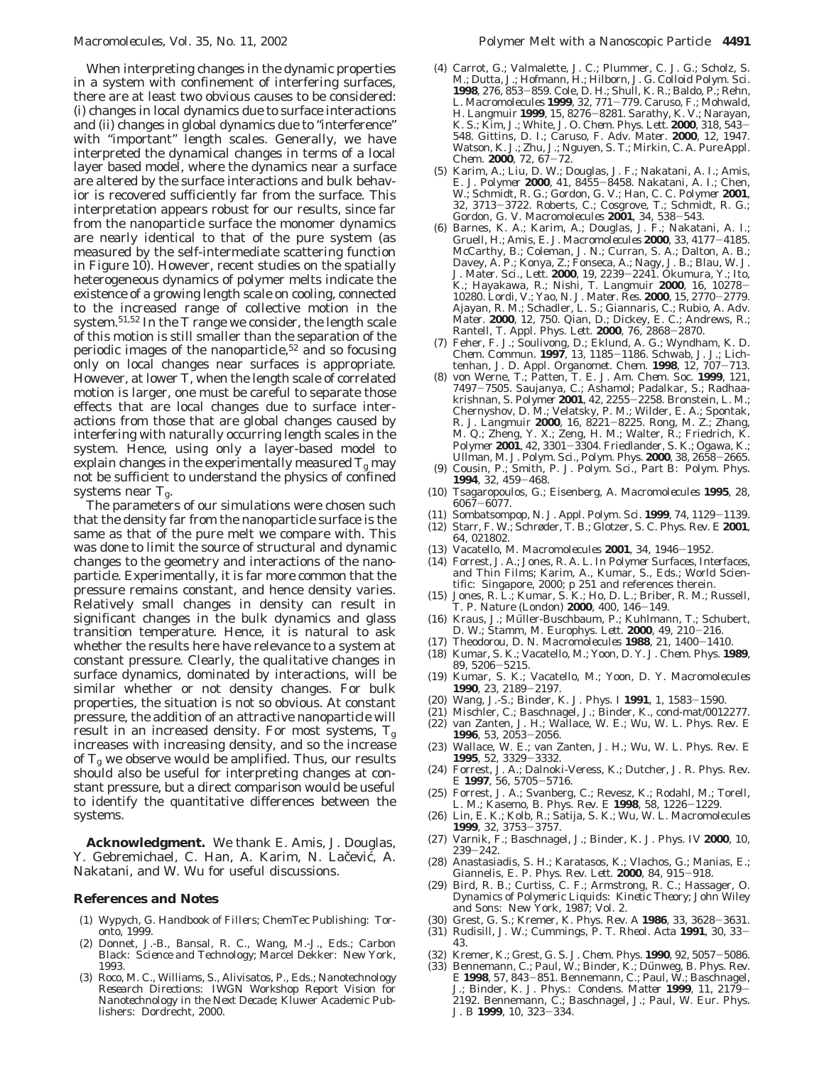When interpreting changes in the dynamic properties in a system with confinement of interfering surfaces, there are at least two obvious causes to be considered: (i) changes in local dynamics due to surface interactions and (ii) changes in global dynamics due to "interference" with "important" length scales. Generally, we have interpreted the dynamical changes in terms of a local layer based model, where the dynamics near a surface are altered by the surface interactions and bulk behavior is recovered sufficiently far from the surface. This interpretation appears robust for our results, since far from the nanoparticle surface the monomer dynamics are nearly identical to that of the pure system (as measured by the self-intermediate scattering function in Figure 10). However, recent studies on the spatially heterogeneous dynamics of polymer melts indicate the existence of a growing length scale on cooling, connected to the increased range of collective motion in the system.51,52 In the *T* range we consider, the length scale of this motion is still smaller than the separation of the periodic images of the nanoparticle,  $52$  and so focusing only on local changes near surfaces is appropriate. However, at lower *T*, when the length scale of correlated motion is larger, one must be careful to separate those effects that are local changes due to surface interactions from those that are global changes caused by interfering with naturally occurring length scales in the system. Hence, using *only* a layer-based model to explain changes in the experimentally measured  $T_{\rm g}$  may not be sufficient to understand the physics of confined systems near *T*g.

The parameters of our simulations were chosen such that the density far from the nanoparticle surface is the same as that of the pure melt we compare with. This was done to limit the source of structural and dynamic changes to the geometry and interactions of the nanoparticle. Experimentally, it is far more common that the pressure remains constant, and hence density varies. Relatively small changes in density can result in significant changes in the bulk dynamics and glass transition temperature. Hence, it is natural to ask whether the results here have relevance to a system at constant pressure. Clearly, the qualitative changes in surface dynamics, dominated by interactions, will be similar whether or not density changes. For bulk properties, the situation is not so obvious. At constant pressure, the addition of an attractive nanoparticle will result in an increased density. For most systems,  $T_{\rm g}$ increases with increasing density, and so the increase of  $T_g$  we observe would be amplified. Thus, our results should also be useful for interpreting changes at constant pressure, but a direct comparison would be useful to identify the quantitative differences between the systems.

**Acknowledgment.** We thank E. Amis, J. Douglas, Y. Gebremichael, C. Han, A. Karim, N. Lačević, A. Nakatani, and W. Wu for useful discussions.

#### **References and Notes**

- (1) Wypych, G. *Handbook of Fillers*; ChemTec Publishing: Toronto, 1999.
- (2) Donnet, J.-B., Bansal, R. C., Wang, M.-J., Eds.; *Carbon Black: Science and Technology*; Marcel Dekker: New York, 1993.
- (3) Roco, M. C., Williams, S., Alivisatos, P., Eds.; *Nanotechnology Research Directions: IWGN Workshop Report Vision for Nanotechnology in the Next Decade*; Kluwer Academic Publishers: Dordrecht, 2000.
- (4) Carrot, G.; Valmalette, J. C.; Plummer, C. J. G.; Scholz, S. M.; Dutta, J.; Hofmann, H.; Hilborn, J. G. *Colloid Polym. Sci.* **<sup>1998</sup>**, *<sup>276</sup>*, 853-859. Cole, D. H.; Shull, K. R.; Baldo, P.; Rehn, L. *Macromolecules* **<sup>1999</sup>**, *<sup>32</sup>*, 771-779. Caruso, F.; Mohwald, H. *Langmuir* **<sup>1999</sup>**, *<sup>15</sup>*, 8276-8281. Sarathy, K. V.; Narayan, K. S.; Kim, J.; White, J. O. *Chem. Phys. Lett.* **<sup>2000</sup>**, *<sup>318</sup>*, 543- 548. Gittins, D. I.; Caruso, F. *Adv. Mater.* **2000**, *12*, 1947. Watson, K. J.; Zhu, J.; Nguyen, S. T.; Mirkin, C. A. *Pure Appl.*
- *Chem.* **<sup>2000</sup>**, *<sup>72</sup>*, 67-72. (5) Karim, A.; Liu, D. W.; Douglas, J. F.; Nakatani, A. I.; Amis, E. J. *Polymer* **<sup>2000</sup>**, *<sup>41</sup>*, 8455-8458. Nakatani, A. I.; Chen, W.; Schmidt, R. G.; Gordon, G. V.; Han, C. C. *Polymer* **2001**, *<sup>32</sup>*, 3713-3722. Roberts, C.; Cosgrove, T.; Schmidt, R. G.; Gordon, G. V. *Macromolecules* **<sup>2001</sup>**, *<sup>34</sup>*, 538-543.
- (6) Barnes, K. A.; Karim, A.; Douglas, J. F.; Nakatani, A. I.; Gruell, H.; Amis, E. J. *Macromolecules* **<sup>2000</sup>**, *<sup>33</sup>*, 4177-4185. McCarthy, B.; Coleman, J. N.; Curran, S. A.; Dalton, A. B.; Davey, A. P.; Konya, Z.; Fonseca, A.; Nagy, J. B.; Blau, W. J. *J. Mater. Sci., Lett.* **<sup>2000</sup>**, *<sup>19</sup>*, 2239-2241. Okumura, Y.; Ito, K.; Hayakawa, R.; Nishi, T. *Langmuir* **<sup>2000</sup>**, *<sup>16</sup>*, 10278- 10280. Lordi, V.; Yao, N. *J. Mater. Res.* **<sup>2000</sup>**, *<sup>15</sup>*, 2770-2779. Ajayan, R. M.; Schadler, L. S.; Giannaris, C.; Rubio, A. *Adv. Mater.* **2000**, *12*, 750. Qian, D.; Dickey, E. C.; Andrews, R.; Rantell, T. *Appl. Phys. Lett.* **<sup>2000</sup>**, *<sup>76</sup>*, 2868-2870.
- (7) Feher, F. J.; Soulivong, D.; Eklund, A. G.; Wyndham, K. D. *Chem. Commun.* **<sup>1997</sup>**, *<sup>13</sup>*, 1185-1186. Schwab, J. J.; Lichtenhan, J. D. *Appl. Organomet. Chem.* **<sup>1998</sup>**, *<sup>12</sup>*, 707-713.
- (8) von Werne, T.; Patten, T. E. *J. Am. Chem. Soc.* **1999**, *121*, 7497–7505. Saujanya, C.; Ashamol; Padalkar, S.; Radhaa-<br>krishnan, S. *Polymer* 2001, 42, 2255–2258. Bronstein, L. M.: krishnan, S. *Polymer* **<sup>2001</sup>**, *<sup>42</sup>*, 2255-2258. Bronstein, L. M.; Chernyshov, D. M.; Velatsky, P. M.; Wilder, E. A.; Spontak, R. J. *Langmuir* **<sup>2000</sup>**, *<sup>16</sup>*, 8221-8225. Rong, M. Z.; Zhang, M. Q.; Zheng, Y. X.; Zeng, H. M.; Walter, R.; Friedrich, K. *Polymer* **<sup>2001</sup>**, *<sup>42</sup>*, 3301-3304. Friedlander, S. K.; Ogawa, K.; Ullman, M. *J. Polym. Sci., Polym. Phys.* **<sup>2000</sup>**, *<sup>38</sup>*, 2658-2665.
- (9) Cousin, P.; Smith, P. *J. Polym. Sci., Part B: Polym. Phys.* **<sup>1994</sup>**, *<sup>32</sup>*, 459-468.
- (10) Tsagaropoulos, G.; Eisenberg, A. *Macromolecules* **1995**, *28*, <sup>6067</sup>-6077.
- (11) Sombatsompop, N. *J. Appl. Polym. Sci.* **<sup>1999</sup>**, *<sup>74</sup>*, 1129-1139.
- (12) Starr, F. W.; Schrøder, T. B.; Glotzer, S. C. *Phys. Rev. E* **2001**, *64*, 021802.
- (13) Vacatello, M. *Macromolecules* **<sup>2001</sup>**, *<sup>34</sup>*, 1946-1952.
- (14) Forrest, J. A.; Jones, R. A. L. In *Polymer Surfaces, Interfaces, and Thin Films*; Karim, A., Kumar, S., Eds.; World Scientific: Singapore, 2000; p 251 and references therein.
- (15) Jones, R. L.; Kumar, S. K.; Ho, D. L.; Briber, R. M.; Russell, T. P. *Nature (London)* **<sup>2000</sup>**, *<sup>400</sup>*, 146-149.
- (16) Kraus, J.; Müller-Buschbaum, P.; Kuhlmann, T.; Schubert, D. W.; Stamm, M. *Europhys. Lett.* **<sup>2000</sup>**, *<sup>49</sup>*, 210-216.
- (17) Theodorou, D. N. *Macromolecules* **<sup>1988</sup>**, *<sup>21</sup>*, 1400-1410.
- (18) Kumar, S. K.; Vacatello, M.; Yoon, D. Y. *J. Chem. Phys.* **1989**, *<sup>89</sup>*, 5206-5215. (19) Kumar, S. K.; Vacatello, M.; Yoon, D. Y. *Macromolecules*
- **<sup>1990</sup>**, *<sup>23</sup>*, 2189-2197.
- (20) Wang, J.-S.; Binder, K. *J. Phys. I* **<sup>1991</sup>**, *<sup>1</sup>*, 1583-1590.
- (21) Mischler, C.; Baschnagel, J.; Binder, K., cond-mat/0012277.
- (22) van Zanten, J. H.; Wallace, W. E.; Wu, W. L. *Phys. Rev. E*
- **<sup>1996</sup>**, *<sup>53</sup>*, 2053-2056. (23) Wallace, W. E.; van Zanten, J. H.; Wu, W. L. *Phys. Rev. E* **<sup>1995</sup>**, *<sup>52</sup>*, 3329-3332.
- (24) Forrest, J. A.; Dalnoki-Veress, K.; Dutcher, J. R. *Phys. Rev.*
- *<sup>E</sup>* **<sup>1997</sup>**, *<sup>56</sup>*, 5705-5716. (25) Forrest, J. A.; Svanberg, C.; Revesz, K.; Rodahl, M.; Torell, L. M.; Kasemo, B. *Phys. Rev. E* **<sup>1998</sup>**, *<sup>58</sup>*, 1226-1229.
- (26) Lin, E. K.; Kolb, R.; Satija, S. K.; Wu, W. L. *Macromolecules* **<sup>1999</sup>**, *<sup>32</sup>*, 3753-3757.
- (27) Varnik, F.; Baschnagel, J.; Binder, K. *J. Phys. IV* **2000**, *10*, <sup>239</sup>-242.
- (28) Anastasiadis, S. H.; Karatasos, K.; Vlachos, G.; Manias, E.; Giannelis, E. P. *Phys. Rev. Lett.* **<sup>2000</sup>**, *<sup>84</sup>*, 915-918. (29) Bird, R. B.; Curtiss, C. F.; Armstrong, R. C.; Hassager, O.
- *Dynamics of Polymeric Liquids: Kinetic Theory*; John Wiley and Sons: New York, 1987; Vol. 2.
- (30) Grest, G. S.; Kremer, K. *Phys. Rev. A* **<sup>1986</sup>**, *<sup>33</sup>*, 3628-3631.
- (31) Rudisill, J. W.; Cummings, P. T. *Rheol. Acta* **<sup>1991</sup>**, *<sup>30</sup>*, 33- 43.
- (32) Kremer, K.; Grest, G. S. *J. Chem. Phys.* **1990**, *92*, 5057–5086.<br>(33) Bennemann, C.; Paul, W.; Binder, K.; Dünweg, B. *Phys. Rev.*
- *<sup>E</sup>* **<sup>1998</sup>**, *<sup>57</sup>*, 843-851. Bennemann, C.; Paul, W.; Baschnagel, J.; Binder, K. *J. Phys.: Condens. Matter* **<sup>1999</sup>**, *<sup>11</sup>*, 2179- 2192. Bennemann, C.; Baschnagel, J.; Paul, W. *Eur. Phys. J. B* **<sup>1999</sup>**, *<sup>10</sup>*, 323-334.